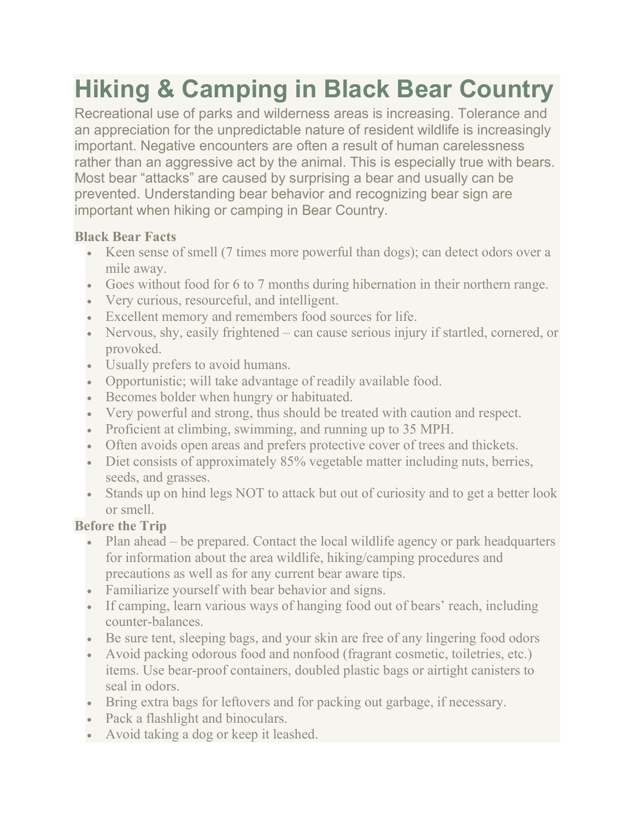# Hiking & Camping in Black Bear Country

Recreational use of parks and wilderness areas is increasing. Tolerance and an appreciation for the unpredictable nature of resident wildlife is increasingly important. Negative encounters are often a result of human carelessness rather than an aggressive act by the animal. This is especially true with bears. Most bear "attacks" are caused by surprising a bear and usually can be prevented. Understanding bear behavior and recognizing bear sign are important when hiking or camping in Bear Country.

## Black Bear Facts

- Keen sense of smell (7 times more powerful than dogs); can detect odors over a mile away.
- Goes without food for 6 to 7 months during hibernation in their northern range.
- Very curious, resourceful, and intelligent.
- Excellent memory and remembers food sources for life.
- Nervous, shy, easily frightened can cause serious injury if startled, cornered, or provoked.
- Usually prefers to avoid humans.
- Opportunistic; will take advantage of readily available food.
- Becomes bolder when hungry or habituated.
- Very powerful and strong, thus should be treated with caution and respect.
- Proficient at climbing, swimming, and running up to 35 MPH.
- Often avoids open areas and prefers protective cover of trees and thickets.
- Diet consists of approximately 85% vegetable matter including nuts, berries, seeds, and grasses.
- Stands up on hind legs NOT to attack but out of curiosity and to get a better look or smell.

## Before the Trip

- Plan ahead be prepared. Contact the local wildlife agency or park headquarters for information about the area wildlife, hiking/camping procedures and precautions as well as for any current bear aware tips.
- Familiarize yourself with bear behavior and signs.
- If camping, learn various ways of hanging food out of bears' reach, including counter-balances.
- Be sure tent, sleeping bags, and your skin are free of any lingering food odors
- Avoid packing odorous food and nonfood (fragrant cosmetic, toiletries, etc.) items. Use bear-proof containers, doubled plastic bags or airtight canisters to seal in odors.
- Bring extra bags for leftovers and for packing out garbage, if necessary.
- Pack a flashlight and binoculars.
- Avoid taking a dog or keep it leashed.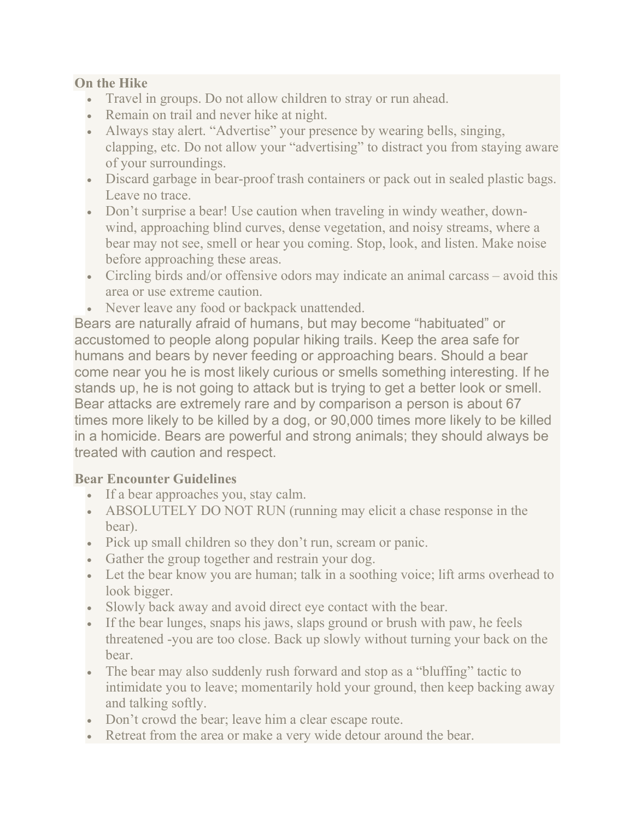#### On the Hike

- Travel in groups. Do not allow children to stray or run ahead.
- Remain on trail and never hike at night.
- Always stay alert. "Advertise" your presence by wearing bells, singing, clapping, etc. Do not allow your "advertising" to distract you from staying aware of your surroundings.
- Discard garbage in bear-proof trash containers or pack out in sealed plastic bags. Leave no trace.
- Don't surprise a bear! Use caution when traveling in windy weather, downwind, approaching blind curves, dense vegetation, and noisy streams, where a bear may not see, smell or hear you coming. Stop, look, and listen. Make noise before approaching these areas.
- Circling birds and/or offensive odors may indicate an animal carcass avoid this area or use extreme caution.
- Never leave any food or backpack unattended.

Bears are naturally afraid of humans, but may become "habituated" or accustomed to people along popular hiking trails. Keep the area safe for humans and bears by never feeding or approaching bears. Should a bear come near you he is most likely curious or smells something interesting. If he stands up, he is not going to attack but is trying to get a better look or smell. Bear attacks are extremely rare and by comparison a person is about 67 times more likely to be killed by a dog, or 90,000 times more likely to be killed in a homicide. Bears are powerful and strong animals; they should always be treated with caution and respect.

#### Bear Encounter Guidelines

- If a bear approaches you, stay calm.
- ABSOLUTELY DO NOT RUN (running may elicit a chase response in the bear).
- Pick up small children so they don't run, scream or panic.
- Gather the group together and restrain your dog.
- Let the bear know you are human; talk in a soothing voice; lift arms overhead to look bigger.
- Slowly back away and avoid direct eye contact with the bear.
- If the bear lunges, snaps his jaws, slaps ground or brush with paw, he feels threatened -you are too close. Back up slowly without turning your back on the bear.
- The bear may also suddenly rush forward and stop as a "bluffing" tactic to intimidate you to leave; momentarily hold your ground, then keep backing away and talking softly.
- Don't crowd the bear; leave him a clear escape route.
- Retreat from the area or make a very wide detour around the bear.